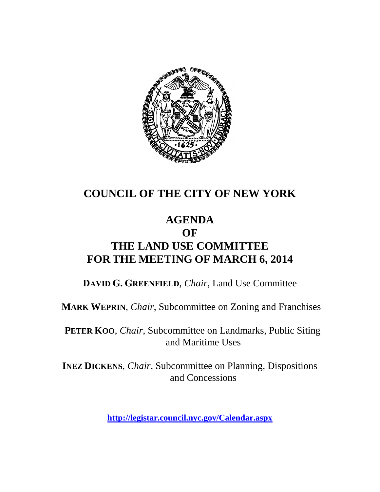

# **COUNCIL OF THE CITY OF NEW YORK**

### **AGENDA OF THE LAND USE COMMITTEE FOR THE MEETING OF MARCH 6, 2014**

**DAVID G. GREENFIELD**, *Chair*, Land Use Committee

**MARK WEPRIN**, *Chair*, Subcommittee on Zoning and Franchises

**PETER KOO**, *Chair*, Subcommittee on Landmarks, Public Siting and Maritime Uses

**INEZ DICKENS**, *Chair,* Subcommittee on Planning, Dispositions and Concessions

**<http://legistar.council.nyc.gov/Calendar.aspx>**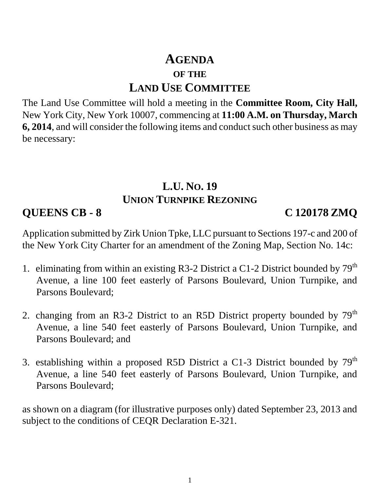# **AGENDA OF THE LAND USE COMMITTEE**

The Land Use Committee will hold a meeting in the **Committee Room, City Hall,**  New York City, New York 10007, commencing at **11:00 A.M. on Thursday, March 6, 2014**, and will consider the following items and conduct such other business as may be necessary:

#### **L.U. NO. 19 UNION TURNPIKE REZONING**

**QUEENS CB - 8 C 120178 ZMQ**

Application submitted by Zirk Union Tpke, LLC pursuant to Sections 197-c and 200 of the New York City Charter for an amendment of the Zoning Map, Section No. 14c:

- 1. eliminating from within an existing R3-2 District a C1-2 District bounded by  $79<sup>th</sup>$ Avenue, a line 100 feet easterly of Parsons Boulevard, Union Turnpike, and Parsons Boulevard;
- 2. changing from an R3-2 District to an R5D District property bounded by 79<sup>th</sup> Avenue, a line 540 feet easterly of Parsons Boulevard, Union Turnpike, and Parsons Boulevard; and
- 3. establishing within a proposed R5D District a C1-3 District bounded by  $79<sup>th</sup>$ Avenue, a line 540 feet easterly of Parsons Boulevard, Union Turnpike, and Parsons Boulevard;

as shown on a diagram (for illustrative purposes only) dated September 23, 2013 and subject to the conditions of CEQR Declaration E-321.